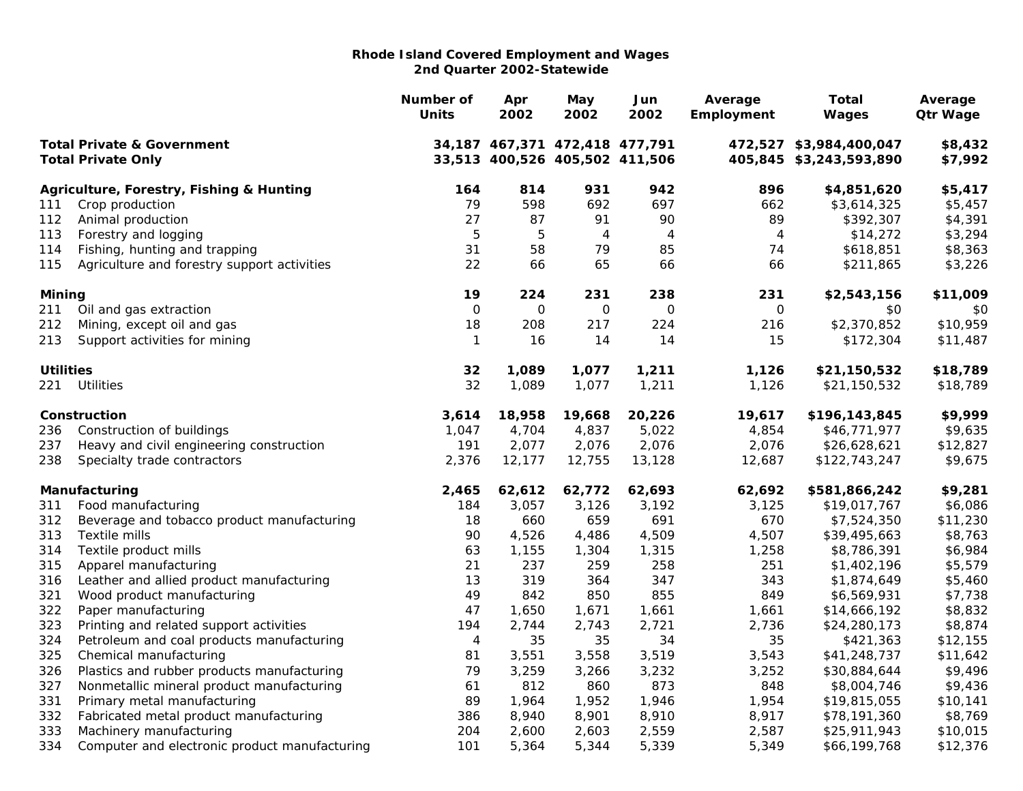|                                                                    |                                               | Number of<br><b>Units</b> | Apr<br>2002                                                      | May<br>2002         | Jun<br>2002    | Average<br>Employment | <b>Total</b><br>Wages                              | Average<br><b>Qtr Wage</b> |
|--------------------------------------------------------------------|-----------------------------------------------|---------------------------|------------------------------------------------------------------|---------------------|----------------|-----------------------|----------------------------------------------------|----------------------------|
| <b>Total Private &amp; Government</b><br><b>Total Private Only</b> |                                               |                           | 34,187 467,371 472,418 477,791<br>33,513 400,526 405,502 411,506 |                     |                |                       | 472,527 \$3,984,400,047<br>405,845 \$3,243,593,890 | \$8,432<br>\$7,992         |
|                                                                    |                                               |                           |                                                                  |                     |                |                       |                                                    |                            |
|                                                                    | Agriculture, Forestry, Fishing & Hunting      | 164                       | 814                                                              | 931                 | 942            | 896                   | \$4,851,620                                        | \$5,417                    |
| 111                                                                | Crop production                               | 79                        | 598                                                              | 692                 | 697            | 662                   | \$3,614,325                                        | \$5,457                    |
| 112                                                                | Animal production                             | 27                        | 87                                                               | 91                  | 90             | 89                    | \$392,307                                          | \$4,391                    |
| 113                                                                | Forestry and logging                          | $\overline{5}$            | $\mathbf 5$                                                      | $\overline{4}$      | $\overline{4}$ | 4                     | \$14,272                                           | \$3,294                    |
| 114                                                                | Fishing, hunting and trapping                 | 31                        | 58                                                               | 79                  | 85             | 74                    | \$618,851                                          | \$8,363                    |
| 115                                                                | Agriculture and forestry support activities   | 22                        | 66                                                               | 65                  | 66             | 66                    | \$211,865                                          | \$3,226                    |
| Mining                                                             |                                               | 19                        | 224                                                              | 231                 | 238            | 231                   | \$2,543,156                                        | \$11,009                   |
| 211                                                                | Oil and gas extraction                        | $\mathsf O$               | $\mathbf 0$                                                      | $\mathsf{O}\xspace$ | $\mathbf 0$    | $\mathsf{O}\xspace$   | \$0                                                | \$0                        |
| 212                                                                | Mining, except oil and gas                    | 18                        | 208                                                              | 217                 | 224            | 216                   | \$2,370,852                                        | \$10,959                   |
| 213                                                                | Support activities for mining                 | $\mathbf{1}$              | 16                                                               | 14                  | 14             | 15                    | \$172,304                                          | \$11,487                   |
| <b>Utilities</b>                                                   |                                               | 32                        | 1,089                                                            | 1,077               | 1,211          | 1,126                 | \$21,150,532                                       | \$18,789                   |
| 221                                                                | <b>Utilities</b>                              | 32                        | 1,089                                                            | 1,077               | 1,211          | 1,126                 | \$21,150,532                                       | \$18,789                   |
|                                                                    | Construction                                  | 3,614                     | 18,958                                                           | 19,668              | 20,226         | 19,617                | \$196,143,845                                      | \$9,999                    |
| 236                                                                | Construction of buildings                     | 1,047                     | 4,704                                                            | 4,837               | 5,022          | 4,854                 | \$46,771,977                                       | \$9,635                    |
| 237                                                                | Heavy and civil engineering construction      | 191                       | 2,077                                                            | 2,076               | 2,076          | 2,076                 | \$26,628,621                                       | \$12,827                   |
| 238                                                                | Specialty trade contractors                   | 2,376                     | 12,177                                                           | 12,755              | 13,128         | 12,687                | \$122,743,247                                      | \$9,675                    |
|                                                                    | Manufacturing                                 | 2,465                     | 62,612                                                           | 62,772              | 62,693         | 62,692                | \$581,866,242                                      | \$9,281                    |
| 311                                                                | Food manufacturing                            | 184                       | 3,057                                                            | 3,126               | 3,192          | 3,125                 | \$19,017,767                                       | \$6,086                    |
| 312                                                                | Beverage and tobacco product manufacturing    | 18                        | 660                                                              | 659                 | 691            | 670                   | \$7,524,350                                        | \$11,230                   |
| 313                                                                | Textile mills                                 | 90                        | 4,526                                                            | 4,486               | 4,509          | 4,507                 | \$39,495,663                                       | \$8,763                    |
| 314                                                                | Textile product mills                         | 63                        | 1,155                                                            | 1,304               | 1,315          | 1,258                 | \$8,786,391                                        | \$6,984                    |
| 315                                                                | Apparel manufacturing                         | 21                        | 237                                                              | 259                 | 258            | 251                   | \$1,402,196                                        | \$5,579                    |
| 316                                                                | Leather and allied product manufacturing      | 13                        | 319                                                              | 364                 | 347            | 343                   | \$1,874,649                                        | \$5,460                    |
| 321                                                                | Wood product manufacturing                    | 49                        | 842                                                              | 850                 | 855            | 849                   | \$6,569,931                                        | \$7,738                    |
| 322                                                                | Paper manufacturing                           | 47                        | 1,650                                                            | 1,671               | 1,661          | 1,661                 | \$14,666,192                                       | \$8,832                    |
| 323                                                                | Printing and related support activities       | 194                       | 2,744                                                            | 2,743               | 2,721          | 2,736                 | \$24,280,173                                       | \$8,874                    |
| 324                                                                | Petroleum and coal products manufacturing     | 4                         | 35                                                               | 35                  | 34             | 35                    | \$421,363                                          | \$12,155                   |
| 325                                                                | Chemical manufacturing                        | 81                        | 3,551                                                            | 3,558               | 3,519          | 3,543                 | \$41,248,737                                       | \$11,642                   |
| 326                                                                | Plastics and rubber products manufacturing    | 79                        | 3,259                                                            | 3,266               | 3,232          | 3,252                 | \$30,884,644                                       | \$9,496                    |
| 327                                                                | Nonmetallic mineral product manufacturing     | 61                        | 812                                                              | 860                 | 873            | 848                   | \$8,004,746                                        | \$9,436                    |
| 331                                                                | Primary metal manufacturing                   | 89                        | 1,964                                                            | 1,952               | 1,946          | 1,954                 | \$19,815,055                                       | \$10,141                   |
| 332                                                                | Fabricated metal product manufacturing        | 386                       | 8,940                                                            | 8,901               | 8,910          | 8,917                 | \$78,191,360                                       | \$8,769                    |
| 333                                                                | Machinery manufacturing                       | 204                       | 2,600                                                            | 2,603               | 2,559          | 2,587                 | \$25,911,943                                       | \$10,015                   |
| 334                                                                | Computer and electronic product manufacturing | 101                       | 5,364                                                            | 5,344               | 5,339          | 5,349                 | \$66,199,768                                       | \$12,376                   |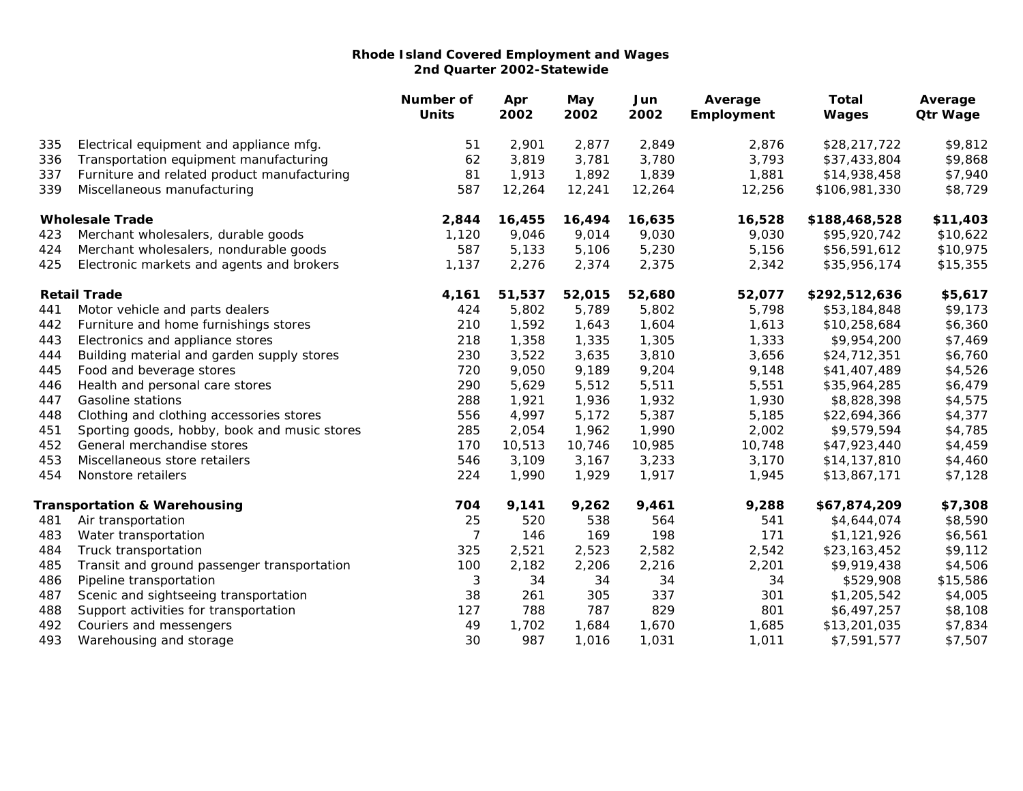|     |                                              | Number of<br><b>Units</b> | Apr<br>2002 | May<br>2002 | Jun<br>2002 | Average<br>Employment | <b>Total</b><br>Wages | Average<br><b>Qtr Wage</b> |
|-----|----------------------------------------------|---------------------------|-------------|-------------|-------------|-----------------------|-----------------------|----------------------------|
| 335 | Electrical equipment and appliance mfg.      | 51                        | 2,901       | 2,877       | 2,849       | 2,876                 | \$28,217,722          | \$9,812                    |
| 336 | Transportation equipment manufacturing       | 62                        | 3,819       | 3,781       | 3,780       | 3,793                 | \$37,433,804          | \$9,868                    |
| 337 | Furniture and related product manufacturing  | 81                        | 1,913       | 1,892       | 1,839       | 1,881                 | \$14,938,458          | \$7,940                    |
| 339 | Miscellaneous manufacturing                  | 587                       | 12,264      | 12,241      | 12,264      | 12,256                | \$106,981,330         | \$8,729                    |
|     | <b>Wholesale Trade</b>                       | 2,844                     | 16,455      | 16,494      | 16,635      | 16,528                | \$188,468,528         | \$11,403                   |
| 423 | Merchant wholesalers, durable goods          | 1,120                     | 9,046       | 9,014       | 9,030       | 9,030                 | \$95,920,742          | \$10,622                   |
| 424 | Merchant wholesalers, nondurable goods       | 587                       | 5,133       | 5,106       | 5,230       | 5,156                 | \$56,591,612          | \$10,975                   |
| 425 | Electronic markets and agents and brokers    | 1,137                     | 2,276       | 2,374       | 2,375       | 2,342                 | \$35,956,174          | \$15,355                   |
|     | <b>Retail Trade</b>                          | 4,161                     | 51,537      | 52,015      | 52,680      | 52,077                | \$292,512,636         | \$5,617                    |
| 441 | Motor vehicle and parts dealers              | 424                       | 5,802       | 5,789       | 5,802       | 5,798                 | \$53,184,848          | \$9,173                    |
| 442 | Furniture and home furnishings stores        | 210                       | 1,592       | 1,643       | 1,604       | 1,613                 | \$10,258,684          | \$6,360                    |
| 443 | Electronics and appliance stores             | 218                       | 1,358       | 1,335       | 1,305       | 1,333                 | \$9,954,200           | \$7,469                    |
| 444 | Building material and garden supply stores   | 230                       | 3,522       | 3,635       | 3,810       | 3,656                 | \$24,712,351          | \$6,760                    |
| 445 | Food and beverage stores                     | 720                       | 9,050       | 9,189       | 9,204       | 9,148                 | \$41,407,489          | \$4,526                    |
| 446 | Health and personal care stores              | 290                       | 5,629       | 5,512       | 5,511       | 5,551                 | \$35,964,285          | \$6,479                    |
| 447 | <b>Gasoline stations</b>                     | 288                       | 1,921       | 1,936       | 1,932       | 1,930                 | \$8,828,398           | \$4,575                    |
| 448 | Clothing and clothing accessories stores     | 556                       | 4,997       | 5,172       | 5,387       | 5,185                 | \$22,694,366          | \$4,377                    |
| 451 | Sporting goods, hobby, book and music stores | 285                       | 2,054       | 1,962       | 1,990       | 2,002                 | \$9,579,594           | \$4,785                    |
| 452 | General merchandise stores                   | 170                       | 10,513      | 10,746      | 10,985      | 10,748                | \$47,923,440          | \$4,459                    |
| 453 | Miscellaneous store retailers                | 546                       | 3,109       | 3,167       | 3,233       | 3,170                 | \$14,137,810          | \$4,460                    |
| 454 | Nonstore retailers                           | 224                       | 1,990       | 1,929       | 1,917       | 1,945                 | \$13,867,171          | \$7,128                    |
|     | <b>Transportation &amp; Warehousing</b>      | 704                       | 9,141       | 9,262       | 9,461       | 9,288                 | \$67,874,209          | \$7,308                    |
| 481 | Air transportation                           | 25                        | 520         | 538         | 564         | 541                   | \$4,644,074           | \$8,590                    |
| 483 | Water transportation                         | 7                         | 146         | 169         | 198         | 171                   | \$1,121,926           | \$6,561                    |
| 484 | Truck transportation                         | 325                       | 2,521       | 2,523       | 2,582       | 2,542                 | \$23,163,452          | \$9,112                    |
| 485 | Transit and ground passenger transportation  | 100                       | 2,182       | 2,206       | 2,216       | 2,201                 | \$9,919,438           | \$4,506                    |
| 486 | Pipeline transportation                      | $\sqrt{3}$                | 34          | 34          | 34          | 34                    | \$529,908             | \$15,586                   |
| 487 | Scenic and sightseeing transportation        | 38                        | 261         | 305         | 337         | 301                   | \$1,205,542           | \$4,005                    |
| 488 | Support activities for transportation        | 127                       | 788         | 787         | 829         | 801                   | \$6,497,257           | \$8,108                    |
| 492 | Couriers and messengers                      | 49                        | 1,702       | 1,684       | 1,670       | 1,685                 | \$13,201,035          | \$7,834                    |
| 493 | Warehousing and storage                      | 30                        | 987         | 1,016       | 1,031       | 1,011                 | \$7,591,577           | \$7,507                    |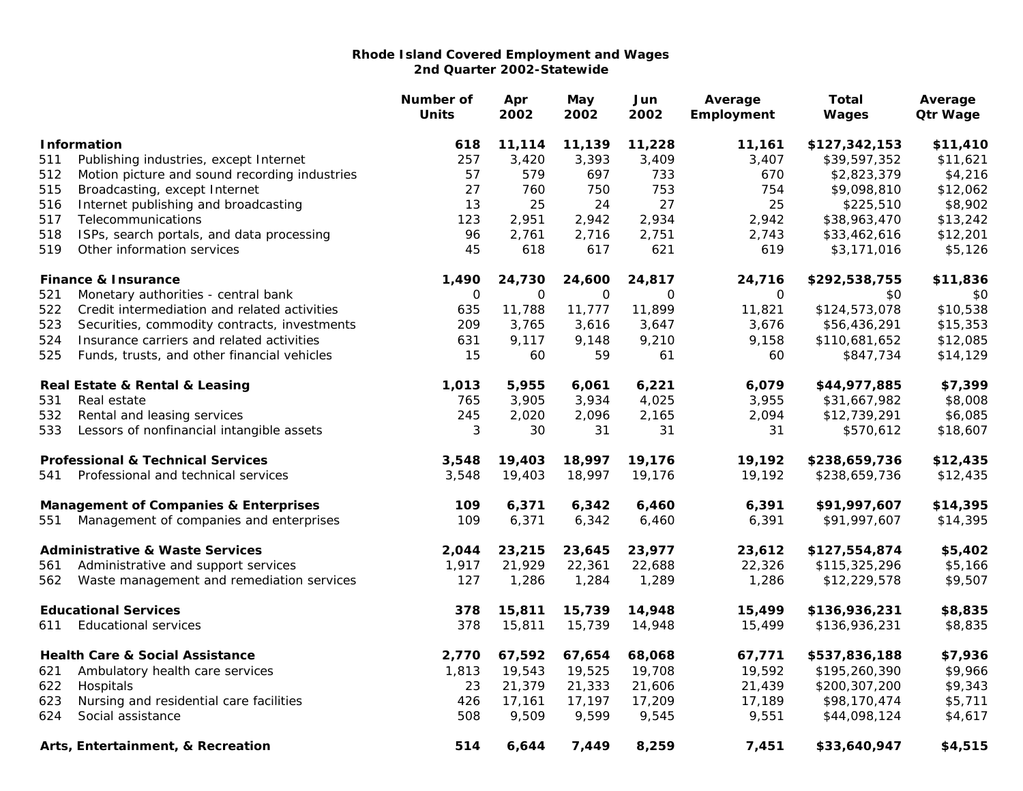|                                                  |                                               | Number of<br><b>Units</b> | Apr<br>2002 | May<br>2002 | Jun<br>2002 | Average<br>Employment | <b>Total</b><br>Wages | Average<br><b>Qtr Wage</b> |
|--------------------------------------------------|-----------------------------------------------|---------------------------|-------------|-------------|-------------|-----------------------|-----------------------|----------------------------|
|                                                  | <b>Information</b>                            | 618                       | 11,114      | 11,139      | 11,228      | 11,161                | \$127,342,153         | \$11,410                   |
| 511                                              | Publishing industries, except Internet        | 257                       | 3,420       | 3,393       | 3,409       | 3,407                 | \$39,597,352          | \$11,621                   |
| 512                                              | Motion picture and sound recording industries | 57                        | 579         | 697         | 733         | 670                   | \$2,823,379           | \$4,216                    |
| 515                                              | Broadcasting, except Internet                 | 27                        | 760         | 750         | 753         | 754                   | \$9,098,810           | \$12,062                   |
| 516                                              | Internet publishing and broadcasting          | 13                        | 25          | 24          | 27          | 25                    | \$225,510             | \$8,902                    |
| 517                                              | Telecommunications                            | 123                       | 2,951       | 2,942       | 2,934       | 2,942                 | \$38,963,470          | \$13,242                   |
| 518                                              | ISPs, search portals, and data processing     | 96                        | 2,761       | 2,716       | 2,751       | 2,743                 | \$33,462,616          | \$12,201                   |
| 519                                              | Other information services                    | 45                        | 618         | 617         | 621         | 619                   | \$3,171,016           | \$5,126                    |
|                                                  | <b>Finance &amp; Insurance</b>                | 1,490                     | 24,730      | 24,600      | 24,817      | 24,716                | \$292,538,755         | \$11,836                   |
| 521                                              | Monetary authorities - central bank           | $\mathbf 0$               | $\Omega$    | $\Omega$    | $\Omega$    | $\Omega$              | \$0                   | \$0                        |
| 522                                              | Credit intermediation and related activities  | 635                       | 11,788      | 11,777      | 11,899      | 11,821                | \$124,573,078         | \$10,538                   |
| 523                                              | Securities, commodity contracts, investments  | 209                       | 3,765       | 3,616       | 3,647       | 3,676                 | \$56,436,291          | \$15,353                   |
| 524                                              | Insurance carriers and related activities     | 631                       | 9,117       | 9,148       | 9,210       | 9,158                 | \$110,681,652         | \$12,085                   |
| 525                                              | Funds, trusts, and other financial vehicles   | 15                        | 60          | 59          | 61          | 60                    | \$847,734             | \$14,129                   |
|                                                  | Real Estate & Rental & Leasing                | 1,013                     | 5,955       | 6,061       | 6,221       | 6,079                 | \$44,977,885          | \$7,399                    |
| 531                                              | Real estate                                   | 765                       | 3,905       | 3,934       | 4,025       | 3,955                 | \$31,667,982          | \$8,008                    |
| 532                                              | Rental and leasing services                   | 245                       | 2,020       | 2,096       | 2,165       | 2,094                 | \$12,739,291          | \$6,085                    |
| 533                                              | Lessors of nonfinancial intangible assets     | 3                         | 30          | 31          | 31          | 31                    | \$570,612             | \$18,607                   |
|                                                  | <b>Professional &amp; Technical Services</b>  | 3,548                     | 19,403      | 18,997      | 19,176      | 19,192                | \$238,659,736         | \$12,435                   |
| 541                                              | Professional and technical services           | 3,548                     | 19,403      | 18,997      | 19,176      | 19,192                | \$238,659,736         | \$12,435                   |
| <b>Management of Companies &amp; Enterprises</b> |                                               | 109                       | 6,371       | 6,342       | 6,460       | 6,391                 | \$91,997,607          | \$14,395                   |
| 551                                              | Management of companies and enterprises       | 109                       | 6,371       | 6,342       | 6,460       | 6,391                 | \$91,997,607          | \$14,395                   |
|                                                  | <b>Administrative &amp; Waste Services</b>    | 2,044                     | 23,215      | 23,645      | 23,977      | 23,612                | \$127,554,874         | \$5,402                    |
| 561                                              | Administrative and support services           | 1,917                     | 21,929      | 22,361      | 22,688      | 22,326                | \$115,325,296         | \$5,166                    |
| 562                                              | Waste management and remediation services     | 127                       | 1,286       | 1,284       | 1,289       | 1,286                 | \$12,229,578          | \$9,507                    |
|                                                  | <b>Educational Services</b>                   | 378                       | 15,811      | 15,739      | 14,948      | 15,499                | \$136,936,231         | \$8,835                    |
| 611                                              | <b>Educational services</b>                   | 378                       | 15,811      | 15,739      | 14,948      | 15,499                | \$136,936,231         | \$8,835                    |
|                                                  | <b>Health Care &amp; Social Assistance</b>    | 2,770                     | 67,592      | 67,654      | 68,068      | 67,771                | \$537,836,188         | \$7,936                    |
| 621                                              | Ambulatory health care services               | 1,813                     | 19,543      | 19,525      | 19,708      | 19,592                | \$195,260,390         | \$9,966                    |
| 622                                              | Hospitals                                     | 23                        | 21,379      | 21,333      | 21,606      | 21,439                | \$200,307,200         | \$9,343                    |
| 623                                              | Nursing and residential care facilities       | 426                       | 17,161      | 17,197      | 17,209      | 17,189                | \$98,170,474          | \$5,711                    |
| 624                                              | Social assistance                             | 508                       | 9,509       | 9,599       | 9,545       | 9,551                 | \$44,098,124          | \$4,617                    |
|                                                  | Arts, Entertainment, & Recreation             | 514                       | 6,644       | 7,449       | 8,259       | 7,451                 | \$33,640,947          | \$4,515                    |